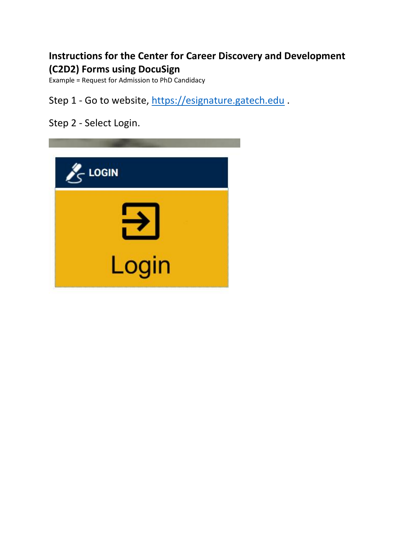## **Instructions for the Center for Career Discovery and Development (C2D2) Forms using DocuSign**

Example = Request for Admission to PhD Candidacy

Step 1 - Go to website, [https://esignature.gatech.edu](https://esignature.gatech.edu/).

Step 2 - Select Login.

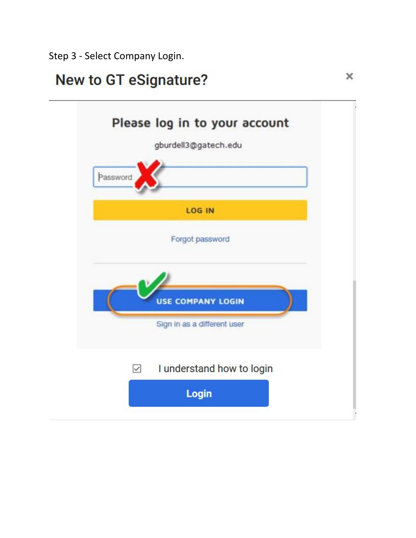Step 3 - Select Company Login.

# **New to GT eSignature?**

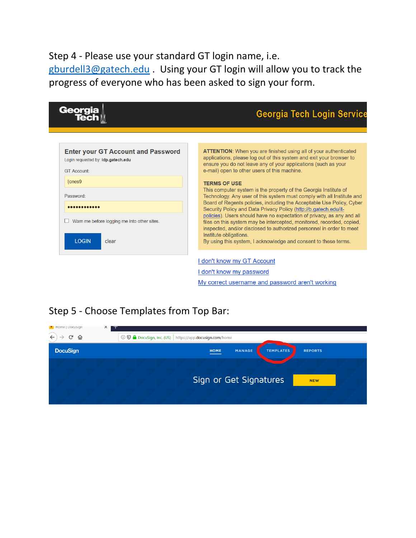Step 4 - Please use your standard GT login name, i.e. [gburdell3@gatech.edu](mailto:gburdell3@gatech.edu) . Using your GT login will allow you to track the progress of everyone who has been asked to sign your form.

| Georgia                                                                         | <b>Georgia Tech Login Service</b>                                                                                                                                                                                                                                 |
|---------------------------------------------------------------------------------|-------------------------------------------------------------------------------------------------------------------------------------------------------------------------------------------------------------------------------------------------------------------|
|                                                                                 |                                                                                                                                                                                                                                                                   |
| <b>Enter your GT Account and Password</b><br>Login requested by: idp.gatech.edu | <b>ATTENTION:</b> When you are finished using all of your authenticated<br>applications, please log out of this system and exit your browser to<br>ensure you do not leave any of your applications (such as your<br>e-mail) open to other users of this machine. |
| <b>GT Account:</b>                                                              |                                                                                                                                                                                                                                                                   |
| ljones9                                                                         | <b>TERMS OF USE</b><br>This computer system is the property of the Georgia Institute of                                                                                                                                                                           |
| Password:                                                                       | Technology. Any user of this system must comply with all Institute and                                                                                                                                                                                            |
|                                                                                 | Board of Regents policies, including the Acceptable Use Policy, Cyber<br>Security Policy and Data Privacy Policy (http://b.gatech.edu/it-                                                                                                                         |
| Warn me before logging me into other sites.                                     | policies). Users should have no expectation of privacy, as any and all<br>files on this system may be intercepted, monitored, recorded, copied,<br>inspected, and/or disclosed to authorized personnel in order to meet<br>Institute obligations.                 |
| <b>LOGIN</b><br>clear                                                           | By using this system, I acknowledge and consent to these terms.                                                                                                                                                                                                   |
|                                                                                 | I don't know my GT Account                                                                                                                                                                                                                                        |
|                                                                                 | I don't know my password                                                                                                                                                                                                                                          |
|                                                                                 | My correct username and password aren't working                                                                                                                                                                                                                   |

# Step 5 - Choose Templates from Top Bar:

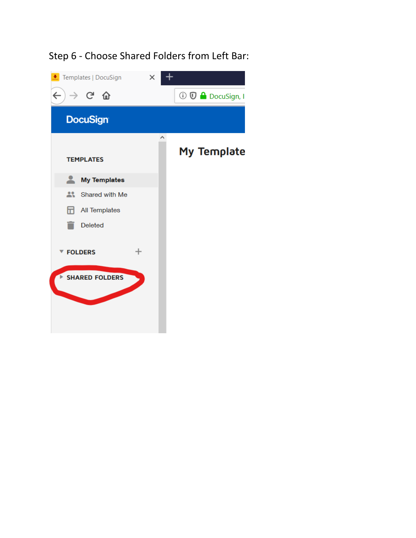# Step 6 - Choose Shared Folders from Left Bar:

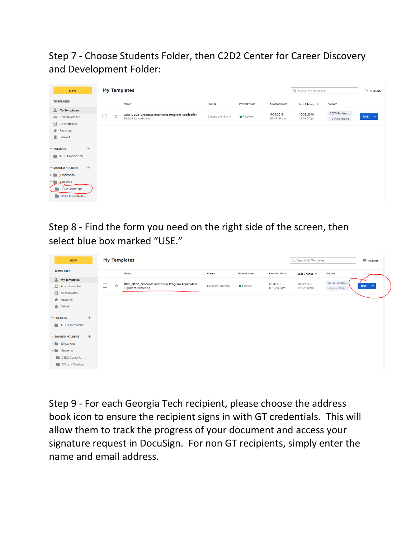Step 7 - Choose Students Folder, then C2D2 Center for Career Discovery and Development Folder:

| <b>NEW</b>                                                 | My Templates |                                                                           |                  |                    | Q Search My Templates    |                           | FILTERS                          |                     |
|------------------------------------------------------------|--------------|---------------------------------------------------------------------------|------------------|--------------------|--------------------------|---------------------------|----------------------------------|---------------------|
| <b>TEMPLATES</b>                                           |              | Name                                                                      | Owner            | PowerForms         | <b>Created Date</b>      | Last Change $\sqrt$       | Folders                          |                     |
| $My$ Templates<br><sup>22</sup> Shared with Me             | ☆            | OGS_C2D2_Graduate Internship Program Application<br>Eligible for matching | Clarence Anthony | $\bullet$ 1 Active | 5/28/2019<br>03:47:38 pm | 10/22/2019<br>12:02:20 pm | GEFD Professi<br>+2 more folders | $USE \quad \forall$ |
| 品<br>All Templates<br>Favorites<br>Deleted                 |              |                                                                           |                  |                    |                          |                           |                                  |                     |
| $^{+}$<br><b>T FOLDERS</b><br>GEFD Professional            |              |                                                                           |                  |                    |                          |                           |                                  |                     |
| $^{+}$<br>▼ SHARED FOLDERS                                 |              |                                                                           |                  |                    |                          |                           |                                  |                     |
| $\blacktriangleright$ $\blacksquare$ Employees             |              |                                                                           |                  |                    |                          |                           |                                  |                     |
| v Students<br>C2D2 Center for<br><b>Coffice of Graduat</b> |              |                                                                           |                  |                    |                          |                           |                                  |                     |

Step 8 - Find the form you need on the right side of the screen, then select blue box marked "USE."

| <b>NEW</b>                                     |        | <b>My Templates</b>                                                       |                  |                    |                          | Q Search My Templates     |                  | FILTERS                               |
|------------------------------------------------|--------|---------------------------------------------------------------------------|------------------|--------------------|--------------------------|---------------------------|------------------|---------------------------------------|
| <b>TEMPLATES</b>                               |        | Name                                                                      | Owner            | PowerForms         | <b>Created Date</b>      | Last Change $\sqrt$       | Folders          |                                       |
| $My$ Templates                                 |        |                                                                           |                  |                    |                          |                           | GEFD Professi.   |                                       |
| <b>At Shared with Me</b>                       | □<br>☆ | OGS_C2D2_Graduate Internship Program Application<br>Eligible for matching | Clarence Anthony | $\bullet$ 1 Active | 5/28/2019<br>03:47:38 pm | 10/22/2019<br>12:02:20 pm | + 2 more folders | <b>USE</b><br>$\overline{\mathbf{v}}$ |
| <b>H</b> All Templates                         |        |                                                                           |                  |                    |                          |                           |                  |                                       |
| Favorites                                      |        |                                                                           |                  |                    |                          |                           |                  |                                       |
| Deleted                                        |        |                                                                           |                  |                    |                          |                           |                  |                                       |
| $+$<br>▼ FOLDERS<br>GEFD Professional          |        |                                                                           |                  |                    |                          |                           |                  |                                       |
| $+$<br>▼ SHARED FOLDERS                        |        |                                                                           |                  |                    |                          |                           |                  |                                       |
| $\blacktriangleright$ $\blacksquare$ Employees |        |                                                                           |                  |                    |                          |                           |                  |                                       |
| $\mathbf{v}$ Students                          |        |                                                                           |                  |                    |                          |                           |                  |                                       |
| C2D2 Center for                                |        |                                                                           |                  |                    |                          |                           |                  |                                       |
| Office of Graduat                              |        |                                                                           |                  |                    |                          |                           |                  |                                       |

Step 9 - For each Georgia Tech recipient, please choose the address book icon to ensure the recipient signs in with GT credentials. This will allow them to track the progress of your document and access your signature request in DocuSign. For non GT recipients, simply enter the name and email address.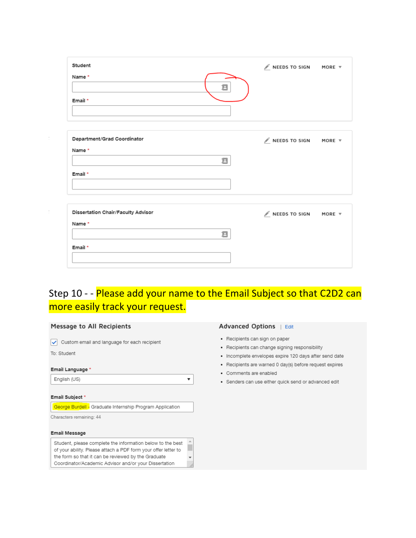| Student<br>Name *<br>я<br>Email *  | $\mathscr N$ NEEDS TO SIGN MORE $\forall$ |  |
|------------------------------------|-------------------------------------------|--|
|                                    |                                           |  |
| Department/Grad Coordinator        | NEEDS TO SIGN MORE V                      |  |
| Name*<br>8                         |                                           |  |
| Email *                            |                                           |  |
|                                    |                                           |  |
| Dissertation Chair/Faculty Advisor | $M$ NEEDS TO SIGN MORE $\forall$          |  |
| Name*                              |                                           |  |
| 且                                  |                                           |  |
| Email *                            |                                           |  |
|                                    |                                           |  |

# Step 10 - - Please add your name to the Email Subject so that C2D2 can more easily track your request.

 $\pmb{\mathrm{v}}$ 

### Message to All Recipients

Custom email and language for each recipient

To: Student

#### Email Language \*

English (US)

### Email Subject \*

George Burdell - Graduate Internship Program Application

Characters remaining: 44

### **Email Message**

| Student, please complete the information below to the best     | A. |
|----------------------------------------------------------------|----|
| of your ability. Please attach a PDF form your offer letter to |    |
| the form so that it can be reviewed by the Graduate            |    |
| Coordinator/Academic Advisor and/or your Dissertation          |    |

### Advanced Options | Edit

- Recipients can sign on paper
- Recipients can change signing responsibility
- · Incomplete envelopes expire 120 days after send date
- · Recipients are warned 0 day(s) before request expires
- · Comments are enabled
- · Senders can use either quick send or advanced edit